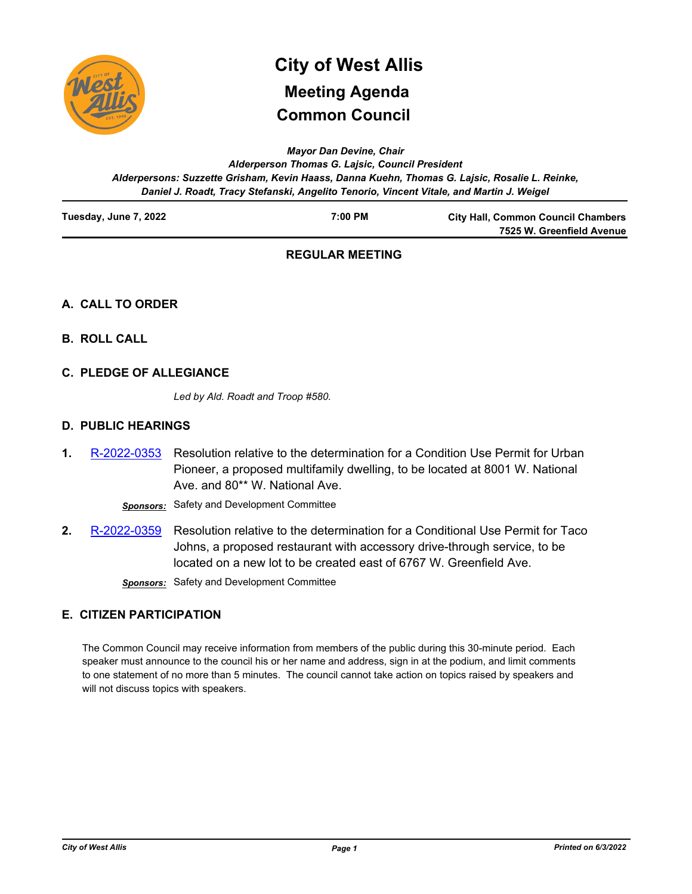

# **Common Council City of West Allis Meeting Agenda**

*Mayor Dan Devine, Chair*

*Alderperson Thomas G. Lajsic, Council President Alderpersons: Suzzette Grisham, Kevin Haass, Danna Kuehn, Thomas G. Lajsic, Rosalie L. Reinke, Daniel J. Roadt, Tracy Stefanski, Angelito Tenorio, Vincent Vitale, and Martin J. Weigel*

| Tuesday, June 7, 2022 | 7:00 PM | <b>City Hall, Common Council Chambers</b> |
|-----------------------|---------|-------------------------------------------|
|                       |         | 7525 W. Greenfield Avenue                 |

# **REGULAR MEETING**

# **A. CALL TO ORDER**

- **B. ROLL CALL**
- **C. PLEDGE OF ALLEGIANCE**

*Led by Ald. Roadt and Troop #580.*

# **D. PUBLIC HEARINGS**

Resolution relative to the determination for a Condition Use Permit for Urban Pioneer, a proposed multifamily dwelling, to be located at 8001 W. National Ave. and 80\*\* W. National Ave. **1.** [R-2022-0353](http://westalliswi.legistar.com/gateway.aspx?m=l&id=/matter.aspx?key=28832)

*Sponsors:* Safety and Development Committee

Resolution relative to the determination for a Conditional Use Permit for Taco Johns, a proposed restaurant with accessory drive-through service, to be located on a new lot to be created east of 6767 W. Greenfield Ave. **2.** [R-2022-0359](http://westalliswi.legistar.com/gateway.aspx?m=l&id=/matter.aspx?key=28852)

*Sponsors:* Safety and Development Committee

# **E. CITIZEN PARTICIPATION**

The Common Council may receive information from members of the public during this 30-minute period. Each speaker must announce to the council his or her name and address, sign in at the podium, and limit comments to one statement of no more than 5 minutes. The council cannot take action on topics raised by speakers and will not discuss topics with speakers.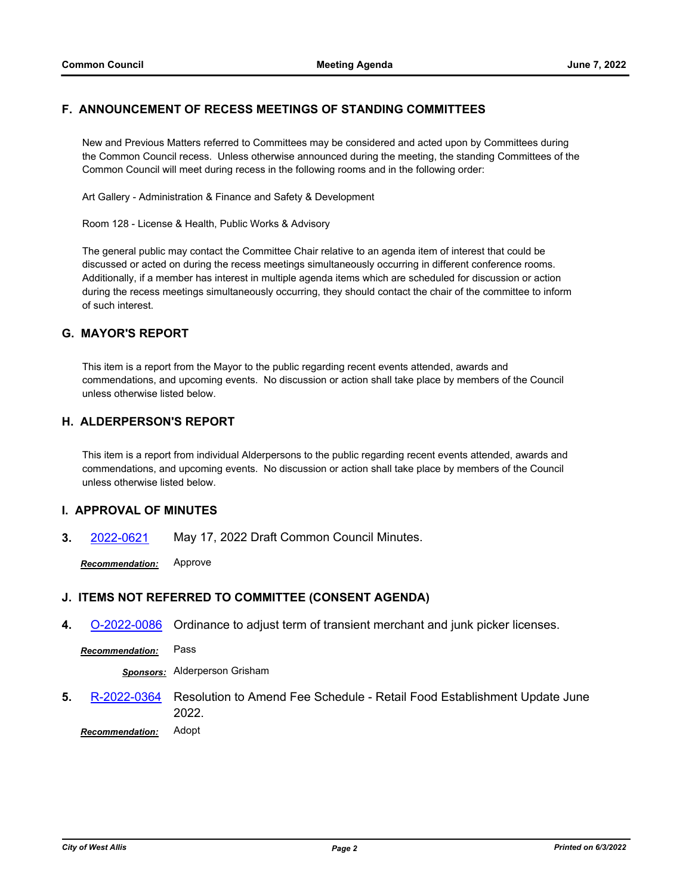## **F. ANNOUNCEMENT OF RECESS MEETINGS OF STANDING COMMITTEES**

New and Previous Matters referred to Committees may be considered and acted upon by Committees during the Common Council recess. Unless otherwise announced during the meeting, the standing Committees of the Common Council will meet during recess in the following rooms and in the following order:

Art Gallery - Administration & Finance and Safety & Development

Room 128 - License & Health, Public Works & Advisory

The general public may contact the Committee Chair relative to an agenda item of interest that could be discussed or acted on during the recess meetings simultaneously occurring in different conference rooms. Additionally, if a member has interest in multiple agenda items which are scheduled for discussion or action during the recess meetings simultaneously occurring, they should contact the chair of the committee to inform of such interest.

# **G. MAYOR'S REPORT**

This item is a report from the Mayor to the public regarding recent events attended, awards and commendations, and upcoming events. No discussion or action shall take place by members of the Council unless otherwise listed below.

### **H. ALDERPERSON'S REPORT**

This item is a report from individual Alderpersons to the public regarding recent events attended, awards and commendations, and upcoming events. No discussion or action shall take place by members of the Council unless otherwise listed below.

#### **I. APPROVAL OF MINUTES**

**3.** [2022-0621](http://westalliswi.legistar.com/gateway.aspx?m=l&id=/matter.aspx?key=28865) May 17, 2022 Draft Common Council Minutes.

*Recommendation:* Approve

#### **J. ITEMS NOT REFERRED TO COMMITTEE (CONSENT AGENDA)**

**4.** [O-2022-0086](http://westalliswi.legistar.com/gateway.aspx?m=l&id=/matter.aspx?key=28854) Ordinance to adjust term of transient merchant and junk picker licenses.

*Recommendation:* Pass

*Sponsors:* Alderperson Grisham

Resolution to Amend Fee Schedule - Retail Food Establishment Update June 2022. **5.** [R-2022-0364](http://westalliswi.legistar.com/gateway.aspx?m=l&id=/matter.aspx?key=28855)

*Recommendation:* Adopt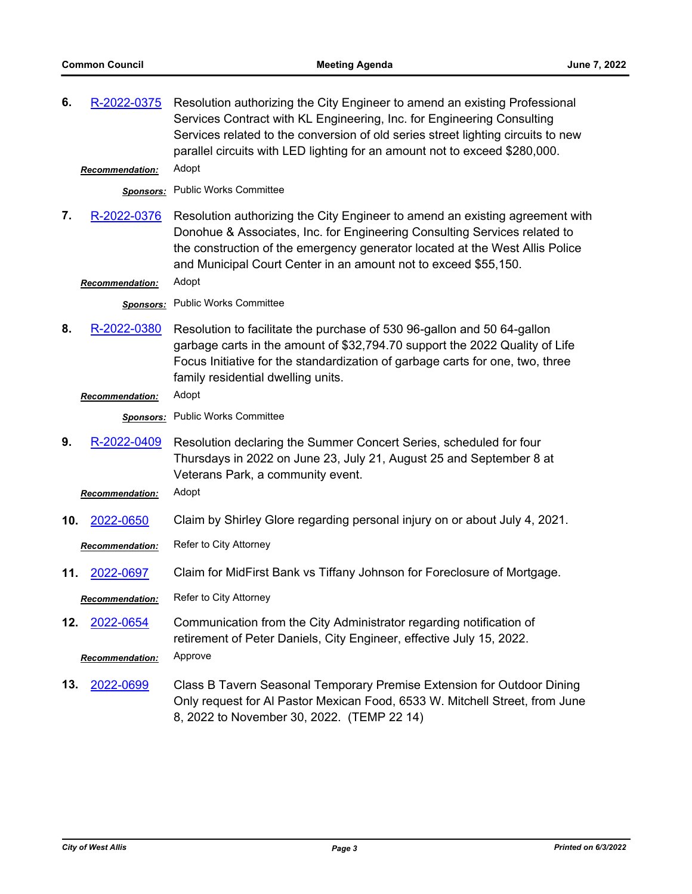| 6.  | R-2022-0375                           | Resolution authorizing the City Engineer to amend an existing Professional<br>Services Contract with KL Engineering, Inc. for Engineering Consulting<br>Services related to the conversion of old series street lighting circuits to new<br>parallel circuits with LED lighting for an amount not to exceed \$280,000. |
|-----|---------------------------------------|------------------------------------------------------------------------------------------------------------------------------------------------------------------------------------------------------------------------------------------------------------------------------------------------------------------------|
|     | <b>Recommendation:</b>                | Adopt                                                                                                                                                                                                                                                                                                                  |
|     |                                       | <b>Sponsors:</b> Public Works Committee                                                                                                                                                                                                                                                                                |
| 7.  | R-2022-0376<br><b>Recommendation:</b> | Resolution authorizing the City Engineer to amend an existing agreement with<br>Donohue & Associates, Inc. for Engineering Consulting Services related to<br>the construction of the emergency generator located at the West Allis Police<br>and Municipal Court Center in an amount not to exceed \$55,150.<br>Adopt  |
|     |                                       | Sponsors: Public Works Committee                                                                                                                                                                                                                                                                                       |
|     |                                       |                                                                                                                                                                                                                                                                                                                        |
| 8.  | R-2022-0380                           | Resolution to facilitate the purchase of 530 96-gallon and 50 64-gallon<br>garbage carts in the amount of \$32,794.70 support the 2022 Quality of Life<br>Focus Initiative for the standardization of garbage carts for one, two, three<br>family residential dwelling units.                                          |
|     | Recommendation:                       | Adopt                                                                                                                                                                                                                                                                                                                  |
|     |                                       | Sponsors: Public Works Committee                                                                                                                                                                                                                                                                                       |
| 9.  | R-2022-0409                           | Resolution declaring the Summer Concert Series, scheduled for four<br>Thursdays in 2022 on June 23, July 21, August 25 and September 8 at<br>Veterans Park, a community event.                                                                                                                                         |
|     | <b>Recommendation:</b>                | Adopt                                                                                                                                                                                                                                                                                                                  |
| 10. | 2022-0650                             | Claim by Shirley Glore regarding personal injury on or about July 4, 2021.                                                                                                                                                                                                                                             |
|     | <b>Recommendation:</b>                | Refer to City Attorney                                                                                                                                                                                                                                                                                                 |
| 11. | 2022-0697                             | Claim for MidFirst Bank vs Tiffany Johnson for Foreclosure of Mortgage.                                                                                                                                                                                                                                                |
|     | <b>Recommendation:</b>                | <b>Refer to City Attornev</b>                                                                                                                                                                                                                                                                                          |
| 12. | 2022-0654                             | Communication from the City Administrator regarding notification of<br>retirement of Peter Daniels, City Engineer, effective July 15, 2022.                                                                                                                                                                            |
|     | <b>Recommendation:</b>                | Approve                                                                                                                                                                                                                                                                                                                |
| 13. | 2022-0699                             | Class B Tavern Seasonal Temporary Premise Extension for Outdoor Dining<br>Only request for AI Pastor Mexican Food, 6533 W. Mitchell Street, from June<br>8, 2022 to November 30, 2022. (TEMP 22 14)                                                                                                                    |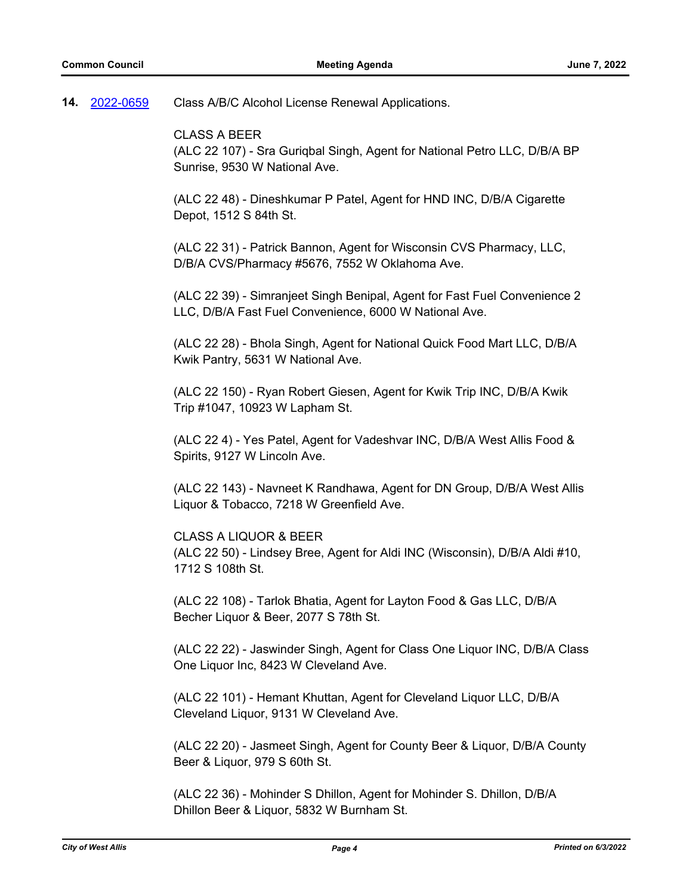Class A/B/C Alcohol License Renewal Applications. **14.** [2022-0659](http://westalliswi.legistar.com/gateway.aspx?m=l&id=/matter.aspx?key=28918)

CLASS A BEER

(ALC 22 107) - Sra Guriqbal Singh, Agent for National Petro LLC, D/B/A BP Sunrise, 9530 W National Ave.

(ALC 22 48) - Dineshkumar P Patel, Agent for HND INC, D/B/A Cigarette Depot, 1512 S 84th St.

(ALC 22 31) - Patrick Bannon, Agent for Wisconsin CVS Pharmacy, LLC, D/B/A CVS/Pharmacy #5676, 7552 W Oklahoma Ave.

(ALC 22 39) - Simranjeet Singh Benipal, Agent for Fast Fuel Convenience 2 LLC, D/B/A Fast Fuel Convenience, 6000 W National Ave.

(ALC 22 28) - Bhola Singh, Agent for National Quick Food Mart LLC, D/B/A Kwik Pantry, 5631 W National Ave.

(ALC 22 150) - Ryan Robert Giesen, Agent for Kwik Trip INC, D/B/A Kwik Trip #1047, 10923 W Lapham St.

(ALC 22 4) - Yes Patel, Agent for Vadeshvar INC, D/B/A West Allis Food & Spirits, 9127 W Lincoln Ave.

(ALC 22 143) - Navneet K Randhawa, Agent for DN Group, D/B/A West Allis Liquor & Tobacco, 7218 W Greenfield Ave.

CLASS A LIQUOR & BEER (ALC 22 50) - Lindsey Bree, Agent for Aldi INC (Wisconsin), D/B/A Aldi #10, 1712 S 108th St.

(ALC 22 108) - Tarlok Bhatia, Agent for Layton Food & Gas LLC, D/B/A Becher Liquor & Beer, 2077 S 78th St.

(ALC 22 22) - Jaswinder Singh, Agent for Class One Liquor INC, D/B/A Class One Liquor Inc, 8423 W Cleveland Ave.

(ALC 22 101) - Hemant Khuttan, Agent for Cleveland Liquor LLC, D/B/A Cleveland Liquor, 9131 W Cleveland Ave.

(ALC 22 20) - Jasmeet Singh, Agent for County Beer & Liquor, D/B/A County Beer & Liquor, 979 S 60th St.

(ALC 22 36) - Mohinder S Dhillon, Agent for Mohinder S. Dhillon, D/B/A Dhillon Beer & Liquor, 5832 W Burnham St.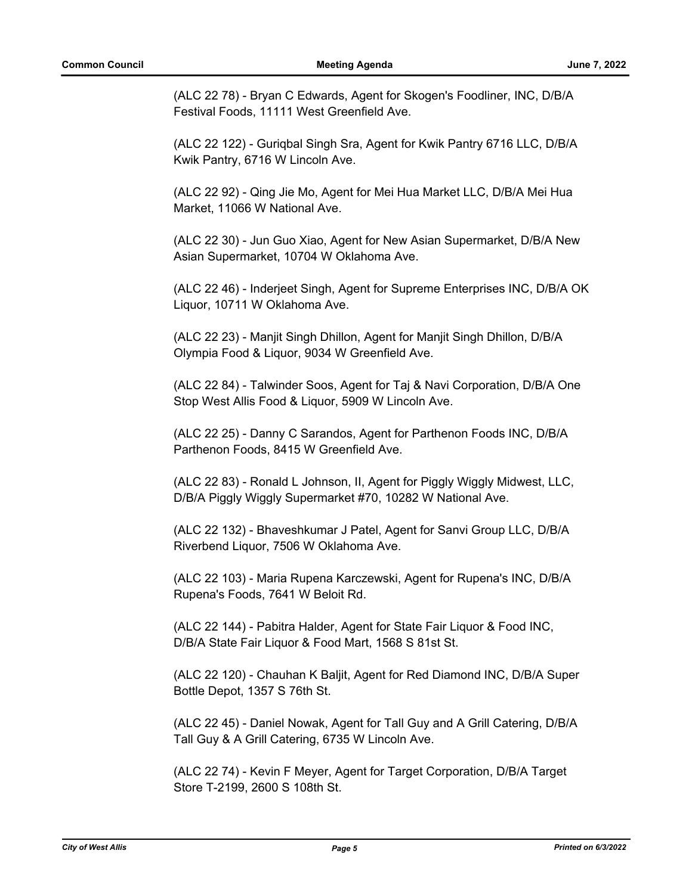(ALC 22 78) - Bryan C Edwards, Agent for Skogen's Foodliner, INC, D/B/A Festival Foods, 11111 West Greenfield Ave.

(ALC 22 122) - Guriqbal Singh Sra, Agent for Kwik Pantry 6716 LLC, D/B/A Kwik Pantry, 6716 W Lincoln Ave.

(ALC 22 92) - Qing Jie Mo, Agent for Mei Hua Market LLC, D/B/A Mei Hua Market, 11066 W National Ave.

(ALC 22 30) - Jun Guo Xiao, Agent for New Asian Supermarket, D/B/A New Asian Supermarket, 10704 W Oklahoma Ave.

(ALC 22 46) - Inderjeet Singh, Agent for Supreme Enterprises INC, D/B/A OK Liquor, 10711 W Oklahoma Ave.

(ALC 22 23) - Manjit Singh Dhillon, Agent for Manjit Singh Dhillon, D/B/A Olympia Food & Liquor, 9034 W Greenfield Ave.

(ALC 22 84) - Talwinder Soos, Agent for Taj & Navi Corporation, D/B/A One Stop West Allis Food & Liquor, 5909 W Lincoln Ave.

(ALC 22 25) - Danny C Sarandos, Agent for Parthenon Foods INC, D/B/A Parthenon Foods, 8415 W Greenfield Ave.

(ALC 22 83) - Ronald L Johnson, II, Agent for Piggly Wiggly Midwest, LLC, D/B/A Piggly Wiggly Supermarket #70, 10282 W National Ave.

(ALC 22 132) - Bhaveshkumar J Patel, Agent for Sanvi Group LLC, D/B/A Riverbend Liquor, 7506 W Oklahoma Ave.

(ALC 22 103) - Maria Rupena Karczewski, Agent for Rupena's INC, D/B/A Rupena's Foods, 7641 W Beloit Rd.

(ALC 22 144) - Pabitra Halder, Agent for State Fair Liquor & Food INC, D/B/A State Fair Liquor & Food Mart, 1568 S 81st St.

(ALC 22 120) - Chauhan K Baljit, Agent for Red Diamond INC, D/B/A Super Bottle Depot, 1357 S 76th St.

(ALC 22 45) - Daniel Nowak, Agent for Tall Guy and A Grill Catering, D/B/A Tall Guy & A Grill Catering, 6735 W Lincoln Ave.

(ALC 22 74) - Kevin F Meyer, Agent for Target Corporation, D/B/A Target Store T-2199, 2600 S 108th St.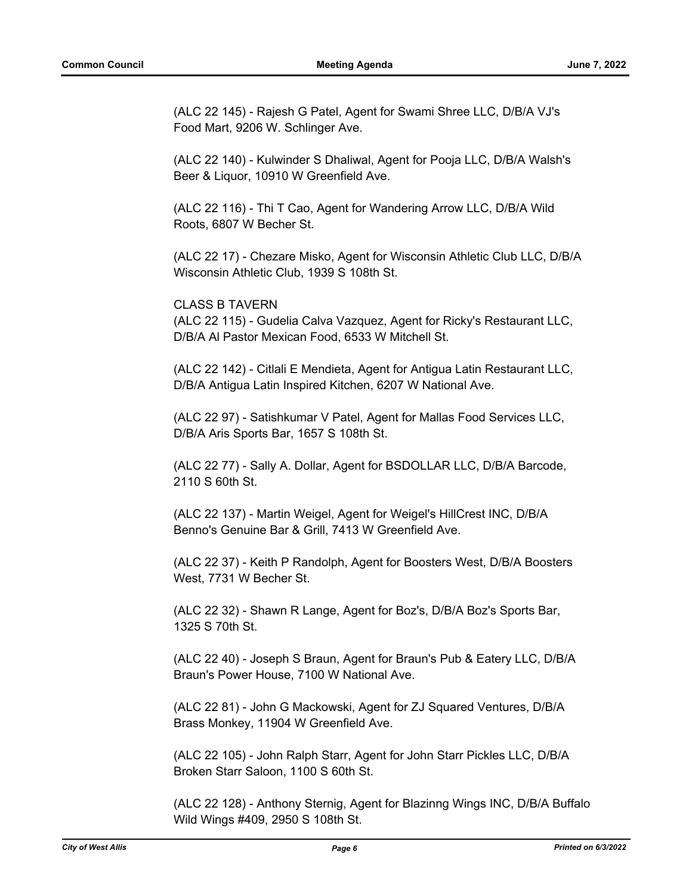(ALC 22 145) - Rajesh G Patel, Agent for Swami Shree LLC, D/B/A VJ's Food Mart, 9206 W. Schlinger Ave.

(ALC 22 140) - Kulwinder S Dhaliwal, Agent for Pooja LLC, D/B/A Walsh's Beer & Liquor, 10910 W Greenfield Ave.

(ALC 22 116) - Thi T Cao, Agent for Wandering Arrow LLC, D/B/A Wild Roots, 6807 W Becher St.

(ALC 22 17) - Chezare Misko, Agent for Wisconsin Athletic Club LLC, D/B/A Wisconsin Athletic Club, 1939 S 108th St.

CLASS B TAVERN (ALC 22 115) - Gudelia Calva Vazquez, Agent for Ricky's Restaurant LLC, D/B/A Al Pastor Mexican Food, 6533 W Mitchell St.

(ALC 22 142) - Citlali E Mendieta, Agent for Antigua Latin Restaurant LLC, D/B/A Antigua Latin Inspired Kitchen, 6207 W National Ave.

(ALC 22 97) - Satishkumar V Patel, Agent for Mallas Food Services LLC, D/B/A Aris Sports Bar, 1657 S 108th St.

(ALC 22 77) - Sally A. Dollar, Agent for BSDOLLAR LLC, D/B/A Barcode, 2110 S 60th St.

(ALC 22 137) - Martin Weigel, Agent for Weigel's HillCrest INC, D/B/A Benno's Genuine Bar & Grill, 7413 W Greenfield Ave.

(ALC 22 37) - Keith P Randolph, Agent for Boosters West, D/B/A Boosters West, 7731 W Becher St.

(ALC 22 32) - Shawn R Lange, Agent for Boz's, D/B/A Boz's Sports Bar, 1325 S 70th St.

(ALC 22 40) - Joseph S Braun, Agent for Braun's Pub & Eatery LLC, D/B/A Braun's Power House, 7100 W National Ave.

(ALC 22 81) - John G Mackowski, Agent for ZJ Squared Ventures, D/B/A Brass Monkey, 11904 W Greenfield Ave.

(ALC 22 105) - John Ralph Starr, Agent for John Starr Pickles LLC, D/B/A Broken Starr Saloon, 1100 S 60th St.

(ALC 22 128) - Anthony Sternig, Agent for Blazinng Wings INC, D/B/A Buffalo Wild Wings #409, 2950 S 108th St.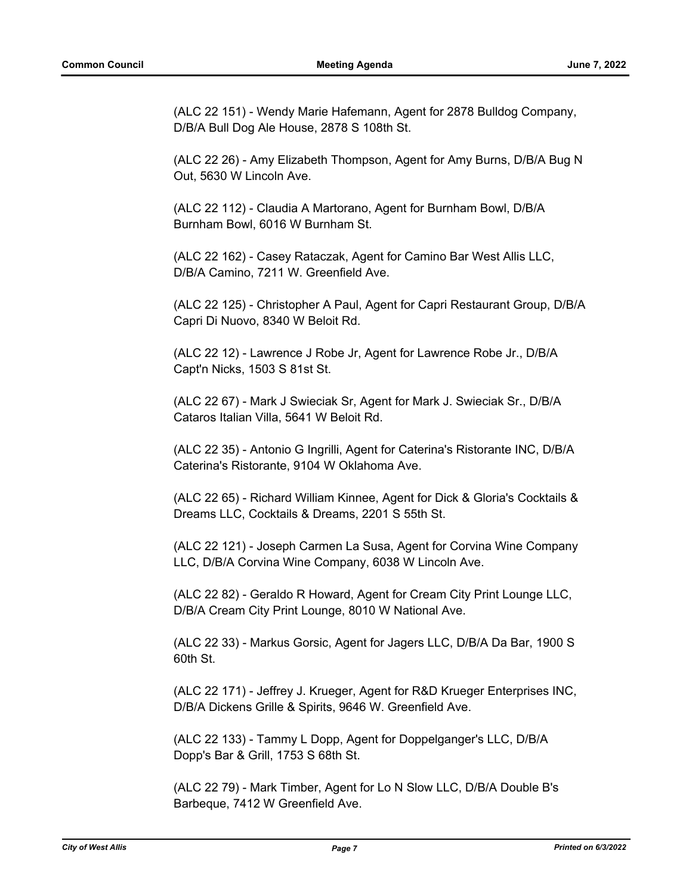(ALC 22 151) - Wendy Marie Hafemann, Agent for 2878 Bulldog Company, D/B/A Bull Dog Ale House, 2878 S 108th St.

(ALC 22 26) - Amy Elizabeth Thompson, Agent for Amy Burns, D/B/A Bug N Out, 5630 W Lincoln Ave.

(ALC 22 112) - Claudia A Martorano, Agent for Burnham Bowl, D/B/A Burnham Bowl, 6016 W Burnham St.

(ALC 22 162) - Casey Rataczak, Agent for Camino Bar West Allis LLC, D/B/A Camino, 7211 W. Greenfield Ave.

(ALC 22 125) - Christopher A Paul, Agent for Capri Restaurant Group, D/B/A Capri Di Nuovo, 8340 W Beloit Rd.

(ALC 22 12) - Lawrence J Robe Jr, Agent for Lawrence Robe Jr., D/B/A Capt'n Nicks, 1503 S 81st St.

(ALC 22 67) - Mark J Swieciak Sr, Agent for Mark J. Swieciak Sr., D/B/A Cataros Italian Villa, 5641 W Beloit Rd.

(ALC 22 35) - Antonio G Ingrilli, Agent for Caterina's Ristorante INC, D/B/A Caterina's Ristorante, 9104 W Oklahoma Ave.

(ALC 22 65) - Richard William Kinnee, Agent for Dick & Gloria's Cocktails & Dreams LLC, Cocktails & Dreams, 2201 S 55th St.

(ALC 22 121) - Joseph Carmen La Susa, Agent for Corvina Wine Company LLC, D/B/A Corvina Wine Company, 6038 W Lincoln Ave.

(ALC 22 82) - Geraldo R Howard, Agent for Cream City Print Lounge LLC, D/B/A Cream City Print Lounge, 8010 W National Ave.

(ALC 22 33) - Markus Gorsic, Agent for Jagers LLC, D/B/A Da Bar, 1900 S 60th St.

(ALC 22 171) - Jeffrey J. Krueger, Agent for R&D Krueger Enterprises INC, D/B/A Dickens Grille & Spirits, 9646 W. Greenfield Ave.

(ALC 22 133) - Tammy L Dopp, Agent for Doppelganger's LLC, D/B/A Dopp's Bar & Grill, 1753 S 68th St.

(ALC 22 79) - Mark Timber, Agent for Lo N Slow LLC, D/B/A Double B's Barbeque, 7412 W Greenfield Ave.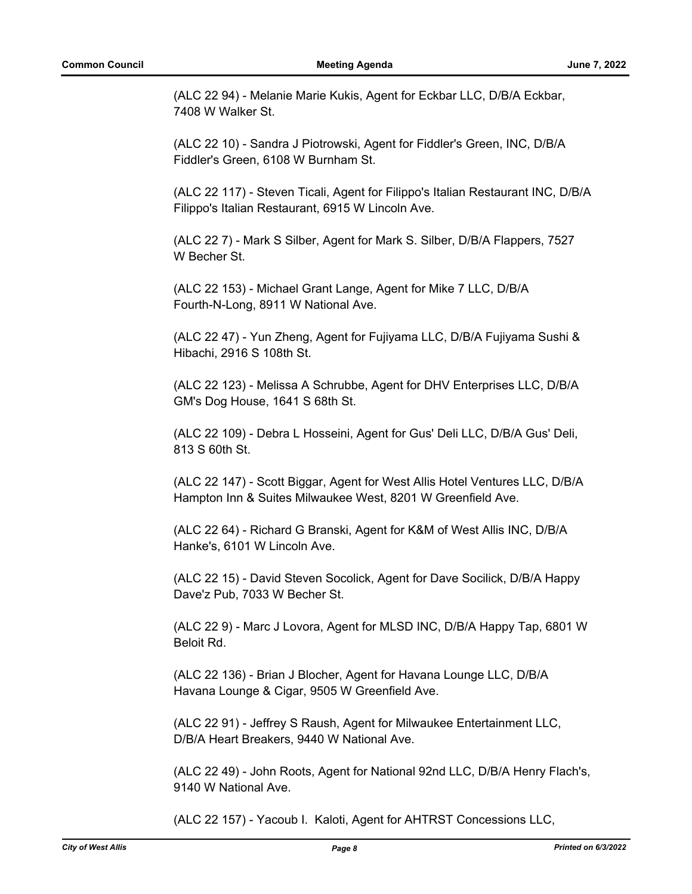(ALC 22 94) - Melanie Marie Kukis, Agent for Eckbar LLC, D/B/A Eckbar, 7408 W Walker St.

(ALC 22 10) - Sandra J Piotrowski, Agent for Fiddler's Green, INC, D/B/A Fiddler's Green, 6108 W Burnham St.

(ALC 22 117) - Steven Ticali, Agent for Filippo's Italian Restaurant INC, D/B/A Filippo's Italian Restaurant, 6915 W Lincoln Ave.

(ALC 22 7) - Mark S Silber, Agent for Mark S. Silber, D/B/A Flappers, 7527 W Becher St.

(ALC 22 153) - Michael Grant Lange, Agent for Mike 7 LLC, D/B/A Fourth-N-Long, 8911 W National Ave.

(ALC 22 47) - Yun Zheng, Agent for Fujiyama LLC, D/B/A Fujiyama Sushi & Hibachi, 2916 S 108th St.

(ALC 22 123) - Melissa A Schrubbe, Agent for DHV Enterprises LLC, D/B/A GM's Dog House, 1641 S 68th St.

(ALC 22 109) - Debra L Hosseini, Agent for Gus' Deli LLC, D/B/A Gus' Deli, 813 S 60th St.

(ALC 22 147) - Scott Biggar, Agent for West Allis Hotel Ventures LLC, D/B/A Hampton Inn & Suites Milwaukee West, 8201 W Greenfield Ave.

(ALC 22 64) - Richard G Branski, Agent for K&M of West Allis INC, D/B/A Hanke's, 6101 W Lincoln Ave.

(ALC 22 15) - David Steven Socolick, Agent for Dave Socilick, D/B/A Happy Dave'z Pub, 7033 W Becher St.

(ALC 22 9) - Marc J Lovora, Agent for MLSD INC, D/B/A Happy Tap, 6801 W Beloit Rd.

(ALC 22 136) - Brian J Blocher, Agent for Havana Lounge LLC, D/B/A Havana Lounge & Cigar, 9505 W Greenfield Ave.

(ALC 22 91) - Jeffrey S Raush, Agent for Milwaukee Entertainment LLC, D/B/A Heart Breakers, 9440 W National Ave.

(ALC 22 49) - John Roots, Agent for National 92nd LLC, D/B/A Henry Flach's, 9140 W National Ave.

(ALC 22 157) - Yacoub I. Kaloti, Agent for AHTRST Concessions LLC,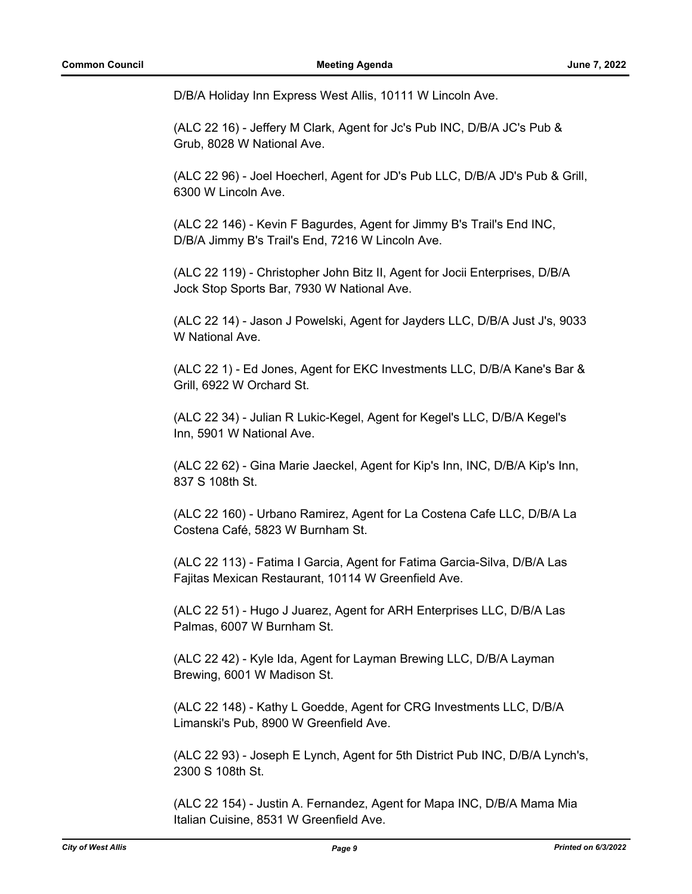D/B/A Holiday Inn Express West Allis, 10111 W Lincoln Ave.

(ALC 22 16) - Jeffery M Clark, Agent for Jc's Pub INC, D/B/A JC's Pub & Grub, 8028 W National Ave.

(ALC 22 96) - Joel Hoecherl, Agent for JD's Pub LLC, D/B/A JD's Pub & Grill, 6300 W Lincoln Ave.

(ALC 22 146) - Kevin F Bagurdes, Agent for Jimmy B's Trail's End INC, D/B/A Jimmy B's Trail's End, 7216 W Lincoln Ave.

(ALC 22 119) - Christopher John Bitz II, Agent for Jocii Enterprises, D/B/A Jock Stop Sports Bar, 7930 W National Ave.

(ALC 22 14) - Jason J Powelski, Agent for Jayders LLC, D/B/A Just J's, 9033 W National Ave.

(ALC 22 1) - Ed Jones, Agent for EKC Investments LLC, D/B/A Kane's Bar & Grill, 6922 W Orchard St.

(ALC 22 34) - Julian R Lukic-Kegel, Agent for Kegel's LLC, D/B/A Kegel's Inn, 5901 W National Ave.

(ALC 22 62) - Gina Marie Jaeckel, Agent for Kip's Inn, INC, D/B/A Kip's Inn, 837 S 108th St.

(ALC 22 160) - Urbano Ramirez, Agent for La Costena Cafe LLC, D/B/A La Costena Café, 5823 W Burnham St.

(ALC 22 113) - Fatima I Garcia, Agent for Fatima Garcia-Silva, D/B/A Las Fajitas Mexican Restaurant, 10114 W Greenfield Ave.

(ALC 22 51) - Hugo J Juarez, Agent for ARH Enterprises LLC, D/B/A Las Palmas, 6007 W Burnham St.

(ALC 22 42) - Kyle Ida, Agent for Layman Brewing LLC, D/B/A Layman Brewing, 6001 W Madison St.

(ALC 22 148) - Kathy L Goedde, Agent for CRG Investments LLC, D/B/A Limanski's Pub, 8900 W Greenfield Ave.

(ALC 22 93) - Joseph E Lynch, Agent for 5th District Pub INC, D/B/A Lynch's, 2300 S 108th St.

(ALC 22 154) - Justin A. Fernandez, Agent for Mapa INC, D/B/A Mama Mia Italian Cuisine, 8531 W Greenfield Ave.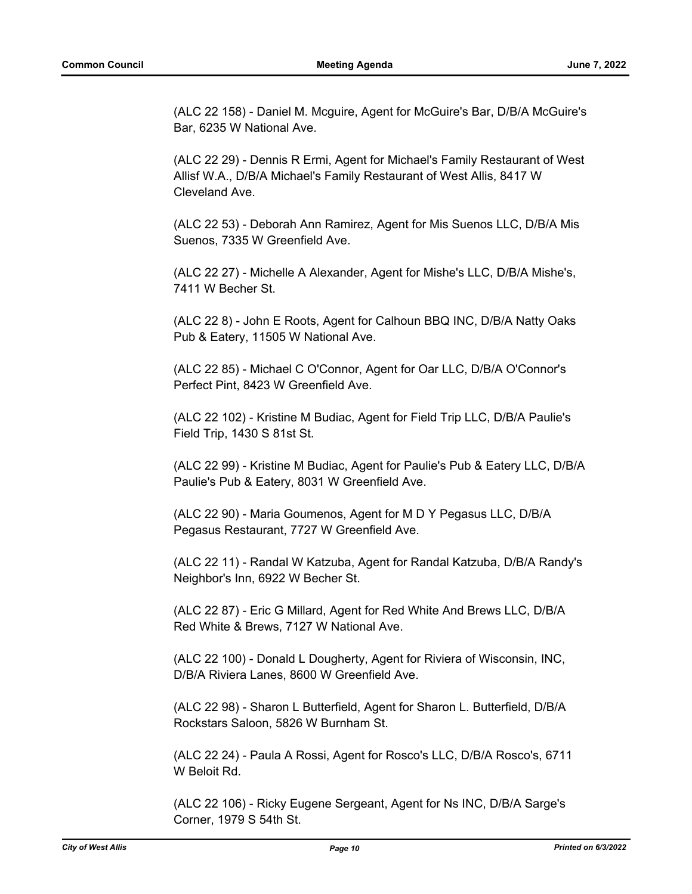(ALC 22 158) - Daniel M. Mcguire, Agent for McGuire's Bar, D/B/A McGuire's Bar, 6235 W National Ave.

(ALC 22 29) - Dennis R Ermi, Agent for Michael's Family Restaurant of West Allisf W.A., D/B/A Michael's Family Restaurant of West Allis, 8417 W Cleveland Ave.

(ALC 22 53) - Deborah Ann Ramirez, Agent for Mis Suenos LLC, D/B/A Mis Suenos, 7335 W Greenfield Ave.

(ALC 22 27) - Michelle A Alexander, Agent for Mishe's LLC, D/B/A Mishe's, 7411 W Becher St.

(ALC 22 8) - John E Roots, Agent for Calhoun BBQ INC, D/B/A Natty Oaks Pub & Eatery, 11505 W National Ave.

(ALC 22 85) - Michael C O'Connor, Agent for Oar LLC, D/B/A O'Connor's Perfect Pint, 8423 W Greenfield Ave.

(ALC 22 102) - Kristine M Budiac, Agent for Field Trip LLC, D/B/A Paulie's Field Trip, 1430 S 81st St.

(ALC 22 99) - Kristine M Budiac, Agent for Paulie's Pub & Eatery LLC, D/B/A Paulie's Pub & Eatery, 8031 W Greenfield Ave.

(ALC 22 90) - Maria Goumenos, Agent for M D Y Pegasus LLC, D/B/A Pegasus Restaurant, 7727 W Greenfield Ave.

(ALC 22 11) - Randal W Katzuba, Agent for Randal Katzuba, D/B/A Randy's Neighbor's Inn, 6922 W Becher St.

(ALC 22 87) - Eric G Millard, Agent for Red White And Brews LLC, D/B/A Red White & Brews, 7127 W National Ave.

(ALC 22 100) - Donald L Dougherty, Agent for Riviera of Wisconsin, INC, D/B/A Riviera Lanes, 8600 W Greenfield Ave.

(ALC 22 98) - Sharon L Butterfield, Agent for Sharon L. Butterfield, D/B/A Rockstars Saloon, 5826 W Burnham St.

(ALC 22 24) - Paula A Rossi, Agent for Rosco's LLC, D/B/A Rosco's, 6711 W Beloit Rd.

(ALC 22 106) - Ricky Eugene Sergeant, Agent for Ns INC, D/B/A Sarge's Corner, 1979 S 54th St.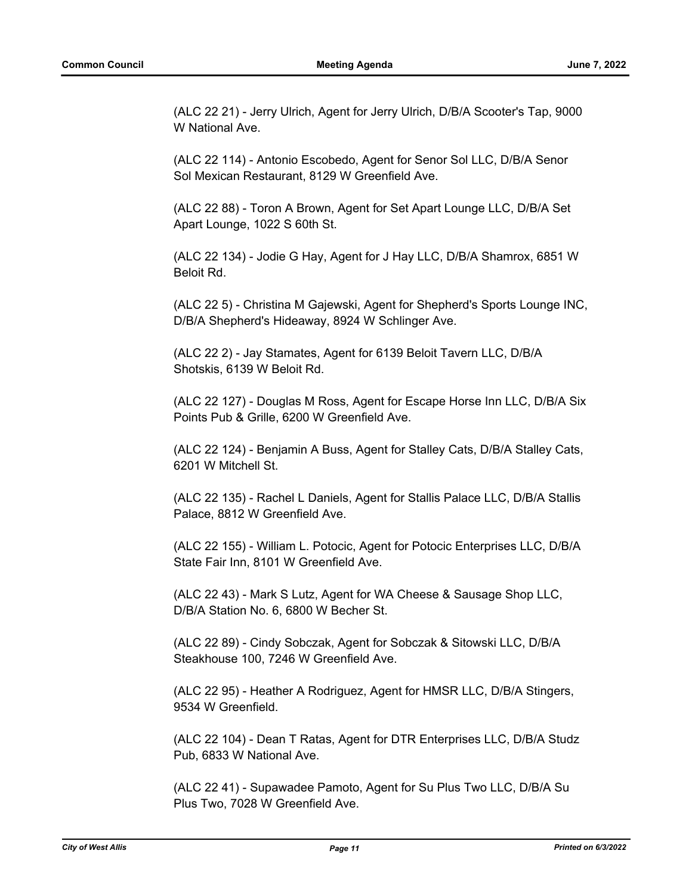(ALC 22 21) - Jerry Ulrich, Agent for Jerry Ulrich, D/B/A Scooter's Tap, 9000 W National Ave.

(ALC 22 114) - Antonio Escobedo, Agent for Senor Sol LLC, D/B/A Senor Sol Mexican Restaurant, 8129 W Greenfield Ave.

(ALC 22 88) - Toron A Brown, Agent for Set Apart Lounge LLC, D/B/A Set Apart Lounge, 1022 S 60th St.

(ALC 22 134) - Jodie G Hay, Agent for J Hay LLC, D/B/A Shamrox, 6851 W Beloit Rd.

(ALC 22 5) - Christina M Gajewski, Agent for Shepherd's Sports Lounge INC, D/B/A Shepherd's Hideaway, 8924 W Schlinger Ave.

(ALC 22 2) - Jay Stamates, Agent for 6139 Beloit Tavern LLC, D/B/A Shotskis, 6139 W Beloit Rd.

(ALC 22 127) - Douglas M Ross, Agent for Escape Horse Inn LLC, D/B/A Six Points Pub & Grille, 6200 W Greenfield Ave.

(ALC 22 124) - Benjamin A Buss, Agent for Stalley Cats, D/B/A Stalley Cats, 6201 W Mitchell St.

(ALC 22 135) - Rachel L Daniels, Agent for Stallis Palace LLC, D/B/A Stallis Palace, 8812 W Greenfield Ave.

(ALC 22 155) - William L. Potocic, Agent for Potocic Enterprises LLC, D/B/A State Fair Inn, 8101 W Greenfield Ave.

(ALC 22 43) - Mark S Lutz, Agent for WA Cheese & Sausage Shop LLC, D/B/A Station No. 6, 6800 W Becher St.

(ALC 22 89) - Cindy Sobczak, Agent for Sobczak & Sitowski LLC, D/B/A Steakhouse 100, 7246 W Greenfield Ave.

(ALC 22 95) - Heather A Rodriguez, Agent for HMSR LLC, D/B/A Stingers, 9534 W Greenfield.

(ALC 22 104) - Dean T Ratas, Agent for DTR Enterprises LLC, D/B/A Studz Pub, 6833 W National Ave.

(ALC 22 41) - Supawadee Pamoto, Agent for Su Plus Two LLC, D/B/A Su Plus Two, 7028 W Greenfield Ave.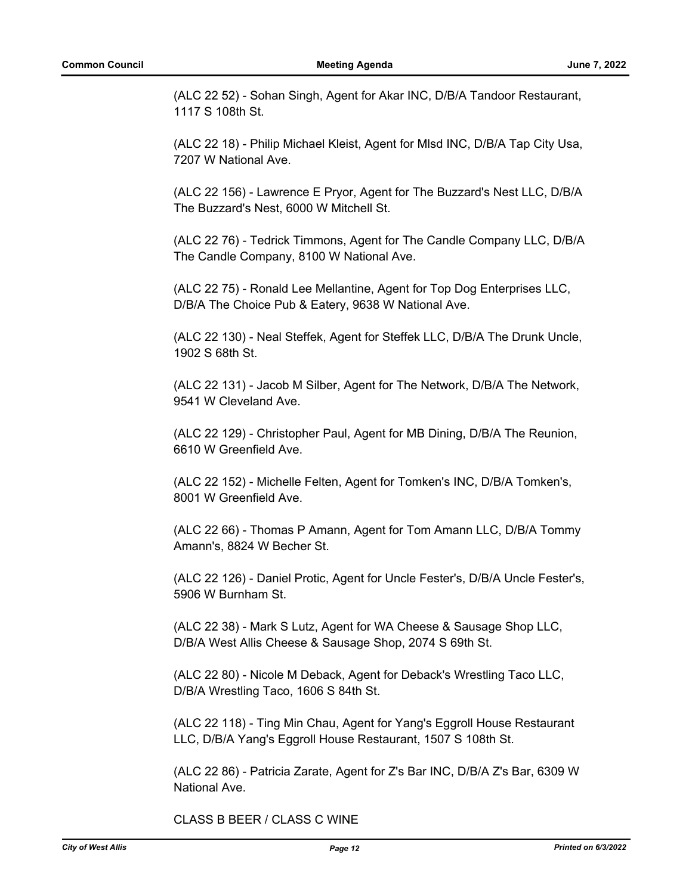(ALC 22 52) - Sohan Singh, Agent for Akar INC, D/B/A Tandoor Restaurant, 1117 S 108th St.

(ALC 22 18) - Philip Michael Kleist, Agent for Mlsd INC, D/B/A Tap City Usa, 7207 W National Ave.

(ALC 22 156) - Lawrence E Pryor, Agent for The Buzzard's Nest LLC, D/B/A The Buzzard's Nest, 6000 W Mitchell St.

(ALC 22 76) - Tedrick Timmons, Agent for The Candle Company LLC, D/B/A The Candle Company, 8100 W National Ave.

(ALC 22 75) - Ronald Lee Mellantine, Agent for Top Dog Enterprises LLC, D/B/A The Choice Pub & Eatery, 9638 W National Ave.

(ALC 22 130) - Neal Steffek, Agent for Steffek LLC, D/B/A The Drunk Uncle, 1902 S 68th St.

(ALC 22 131) - Jacob M Silber, Agent for The Network, D/B/A The Network, 9541 W Cleveland Ave.

(ALC 22 129) - Christopher Paul, Agent for MB Dining, D/B/A The Reunion, 6610 W Greenfield Ave.

(ALC 22 152) - Michelle Felten, Agent for Tomken's INC, D/B/A Tomken's, 8001 W Greenfield Ave.

(ALC 22 66) - Thomas P Amann, Agent for Tom Amann LLC, D/B/A Tommy Amann's, 8824 W Becher St.

(ALC 22 126) - Daniel Protic, Agent for Uncle Fester's, D/B/A Uncle Fester's, 5906 W Burnham St.

(ALC 22 38) - Mark S Lutz, Agent for WA Cheese & Sausage Shop LLC, D/B/A West Allis Cheese & Sausage Shop, 2074 S 69th St.

(ALC 22 80) - Nicole M Deback, Agent for Deback's Wrestling Taco LLC, D/B/A Wrestling Taco, 1606 S 84th St.

(ALC 22 118) - Ting Min Chau, Agent for Yang's Eggroll House Restaurant LLC, D/B/A Yang's Eggroll House Restaurant, 1507 S 108th St.

(ALC 22 86) - Patricia Zarate, Agent for Z's Bar INC, D/B/A Z's Bar, 6309 W National Ave.

CLASS B BEER / CLASS C WINE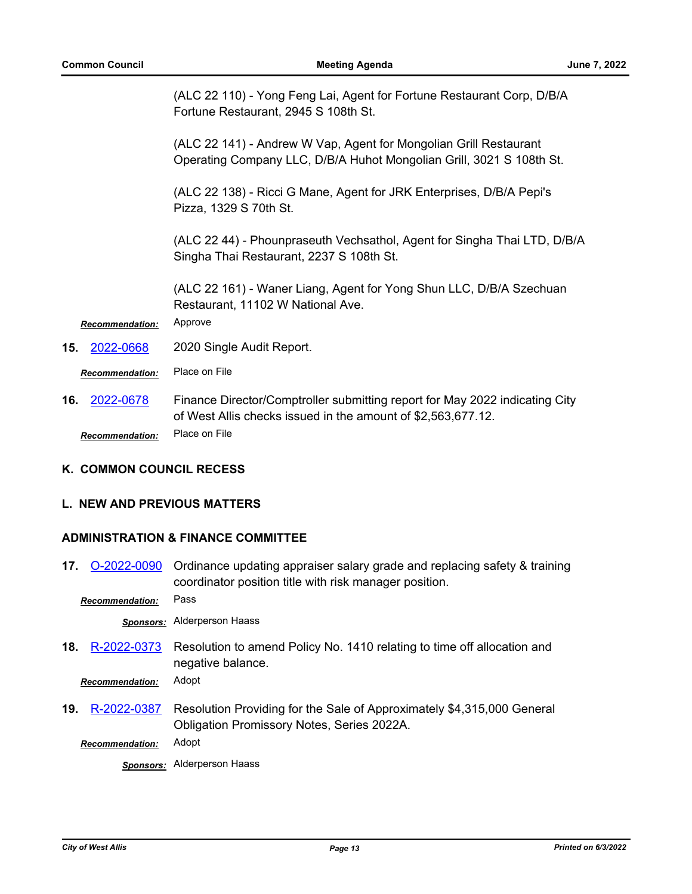(ALC 22 110) - Yong Feng Lai, Agent for Fortune Restaurant Corp, D/B/A Fortune Restaurant, 2945 S 108th St.

(ALC 22 141) - Andrew W Vap, Agent for Mongolian Grill Restaurant Operating Company LLC, D/B/A Huhot Mongolian Grill, 3021 S 108th St.

(ALC 22 138) - Ricci G Mane, Agent for JRK Enterprises, D/B/A Pepi's Pizza, 1329 S 70th St.

(ALC 22 44) - Phounpraseuth Vechsathol, Agent for Singha Thai LTD, D/B/A Singha Thai Restaurant, 2237 S 108th St.

(ALC 22 161) - Waner Liang, Agent for Yong Shun LLC, D/B/A Szechuan Restaurant, 11102 W National Ave.

*Recommendation:* Approve

**15.** [2022-0668](http://westalliswi.legistar.com/gateway.aspx?m=l&id=/matter.aspx?key=28927) 2020 Single Audit Report.

*Recommendation:* Place on File

Finance Director/Comptroller submitting report for May 2022 indicating City of West Allis checks issued in the amount of \$2,563,677.12. **16.** [2022-0678](http://westalliswi.legistar.com/gateway.aspx?m=l&id=/matter.aspx?key=28937) *Recommendation:* Place on File

#### **K. COMMON COUNCIL RECESS**

#### **L. NEW AND PREVIOUS MATTERS**

#### **ADMINISTRATION & FINANCE COMMITTEE**

Ordinance updating appraiser salary grade and replacing safety & training coordinator position title with risk manager position. **17.** [O-2022-0090](http://westalliswi.legistar.com/gateway.aspx?m=l&id=/matter.aspx?key=28947)

*Recommendation:* Pass

*Sponsors:* Alderperson Haass

Resolution to amend Policy No. 1410 relating to time off allocation and negative balance. **18.** [R-2022-0373](http://westalliswi.legistar.com/gateway.aspx?m=l&id=/matter.aspx?key=28883)

*Recommendation:* Adopt

Resolution Providing for the Sale of Approximately \$4,315,000 General Obligation Promissory Notes, Series 2022A. **19.** [R-2022-0387](http://westalliswi.legistar.com/gateway.aspx?m=l&id=/matter.aspx?key=28926)

*Recommendation:* Adopt

*Sponsors:* Alderperson Haass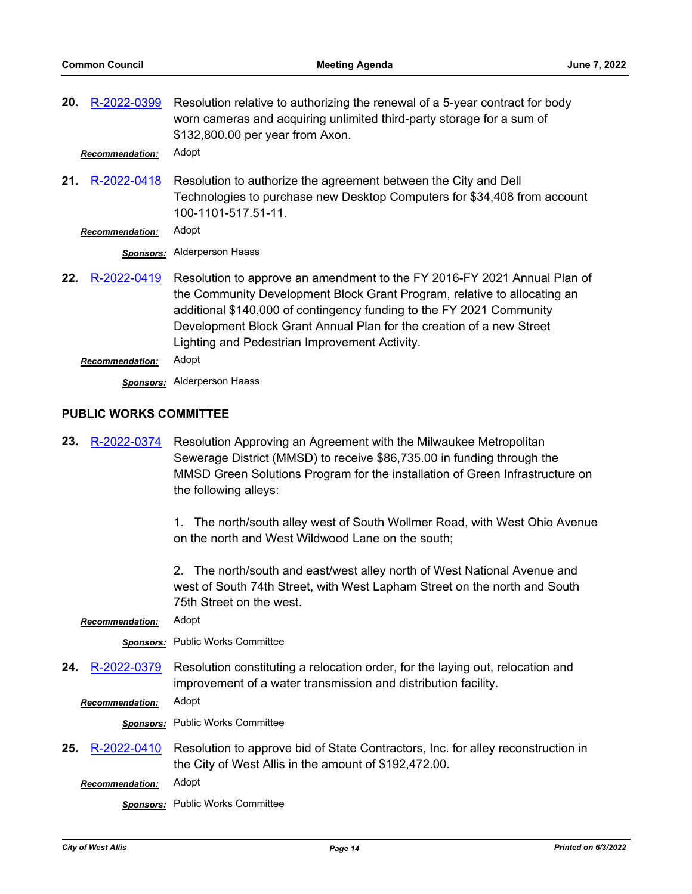| 20.                           | R-2022-0399            | Resolution relative to authorizing the renewal of a 5-year contract for body<br>worn cameras and acquiring unlimited third-party storage for a sum of<br>\$132,800.00 per year from Axon.                                                                                                                                                             |
|-------------------------------|------------------------|-------------------------------------------------------------------------------------------------------------------------------------------------------------------------------------------------------------------------------------------------------------------------------------------------------------------------------------------------------|
|                               | <b>Recommendation:</b> | Adopt                                                                                                                                                                                                                                                                                                                                                 |
| 21.                           | R-2022-0418            | Resolution to authorize the agreement between the City and Dell<br>Technologies to purchase new Desktop Computers for \$34,408 from account<br>100-1101-517.51-11.                                                                                                                                                                                    |
|                               | <b>Recommendation:</b> | Adopt                                                                                                                                                                                                                                                                                                                                                 |
|                               | <b>Sponsors:</b>       | <b>Alderperson Haass</b>                                                                                                                                                                                                                                                                                                                              |
| 22.                           | R-2022-0419            | Resolution to approve an amendment to the FY 2016-FY 2021 Annual Plan of<br>the Community Development Block Grant Program, relative to allocating an<br>additional \$140,000 of contingency funding to the FY 2021 Community<br>Development Block Grant Annual Plan for the creation of a new Street<br>Lighting and Pedestrian Improvement Activity. |
|                               | <b>Recommendation:</b> | Adopt                                                                                                                                                                                                                                                                                                                                                 |
|                               |                        | <b>Sponsors:</b> Alderperson Haass                                                                                                                                                                                                                                                                                                                    |
| <b>PUBLIC WORKS COMMITTEE</b> |                        |                                                                                                                                                                                                                                                                                                                                                       |
| 23.                           | R-2022-0374            | Resolution Approving an Agreement with the Milwaukee Metropolitan<br>Sewerage District (MMSD) to receive \$86,735.00 in funding through the                                                                                                                                                                                                           |

MMSD Green Solutions Program for the installation of Green Infrastructure on the following alleys:

> 1. The north/south alley west of South Wollmer Road, with West Ohio Avenue on the north and West Wildwood Lane on the south;

2. The north/south and east/west alley north of West National Avenue and west of South 74th Street, with West Lapham Street on the north and South 75th Street on the west.

*Recommendation:* Adopt

*Sponsors:* Public Works Committee

Resolution constituting a relocation order, for the laying out, relocation and improvement of a water transmission and distribution facility. **24.** [R-2022-0379](http://westalliswi.legistar.com/gateway.aspx?m=l&id=/matter.aspx?key=28924)

*Recommendation:* Adopt

*Sponsors:* Public Works Committee

Resolution to approve bid of State Contractors, Inc. for alley reconstruction in the City of West Allis in the amount of \$192,472.00. **25.** [R-2022-0410](http://westalliswi.legistar.com/gateway.aspx?m=l&id=/matter.aspx?key=28932)

*Recommendation:* Adopt

*Sponsors:* Public Works Committee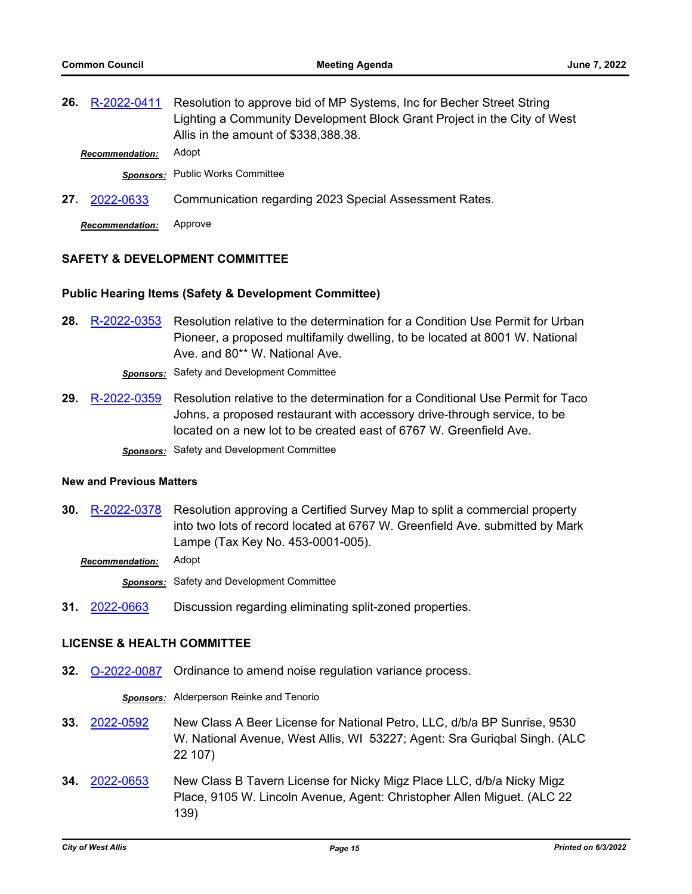| R-2022-0411            | Resolution to approve bid of MP Systems, Inc for Becher Street String                                            |
|------------------------|------------------------------------------------------------------------------------------------------------------|
|                        | Lighting a Community Development Block Grant Project in the City of West<br>Allis in the amount of \$338,388.38. |
| <b>Recommendation:</b> | Adopt                                                                                                            |
|                        | Sponsors: Public Works Committee                                                                                 |
| 27.<br>2022-0633       | Communication regarding 2023 Special Assessment Rates.                                                           |
|                        |                                                                                                                  |

*Recommendation:* Approve

## **SAFETY & DEVELOPMENT COMMITTEE**

### **Public Hearing Items (Safety & Development Committee)**

Resolution relative to the determination for a Condition Use Permit for Urban Pioneer, a proposed multifamily dwelling, to be located at 8001 W. National Ave. and 80\*\* W. National Ave. **28.** [R-2022-0353](http://westalliswi.legistar.com/gateway.aspx?m=l&id=/matter.aspx?key=28832)

*Sponsors:* Safety and Development Committee

Resolution relative to the determination for a Conditional Use Permit for Taco Johns, a proposed restaurant with accessory drive-through service, to be located on a new lot to be created east of 6767 W. Greenfield Ave. **29.** [R-2022-0359](http://westalliswi.legistar.com/gateway.aspx?m=l&id=/matter.aspx?key=28852) *Sponsors:* Safety and Development Committee

#### **New and Previous Matters**

Resolution approving a Certified Survey Map to split a commercial property into two lots of record located at 6767 W. Greenfield Ave. submitted by Mark Lampe (Tax Key No. 453-0001-005). **30.** [R-2022-0378](http://westalliswi.legistar.com/gateway.aspx?m=l&id=/matter.aspx?key=28922)

*Recommendation:* Adopt

*Sponsors:* Safety and Development Committee

**31.** [2022-0663](http://westalliswi.legistar.com/gateway.aspx?m=l&id=/matter.aspx?key=28923) Discussion regarding eliminating split-zoned properties.

#### **LICENSE & HEALTH COMMITTEE**

**32.** [O-2022-0087](http://westalliswi.legistar.com/gateway.aspx?m=l&id=/matter.aspx?key=28921) Ordinance to amend noise regulation variance process.

*Sponsors:* Alderperson Reinke and Tenorio

- New Class A Beer License for National Petro, LLC, d/b/a BP Sunrise, 9530 W. National Avenue, West Allis, WI 53227; Agent: Sra Guriqbal Singh. (ALC 22 107) **33.** [2022-0592](http://westalliswi.legistar.com/gateway.aspx?m=l&id=/matter.aspx?key=28819)
- New Class B Tavern License for Nicky Migz Place LLC, d/b/a Nicky Migz Place, 9105 W. Lincoln Avenue, Agent: Christopher Allen Miguet. (ALC 22 139) **34.** [2022-0653](http://westalliswi.legistar.com/gateway.aspx?m=l&id=/matter.aspx?key=28916)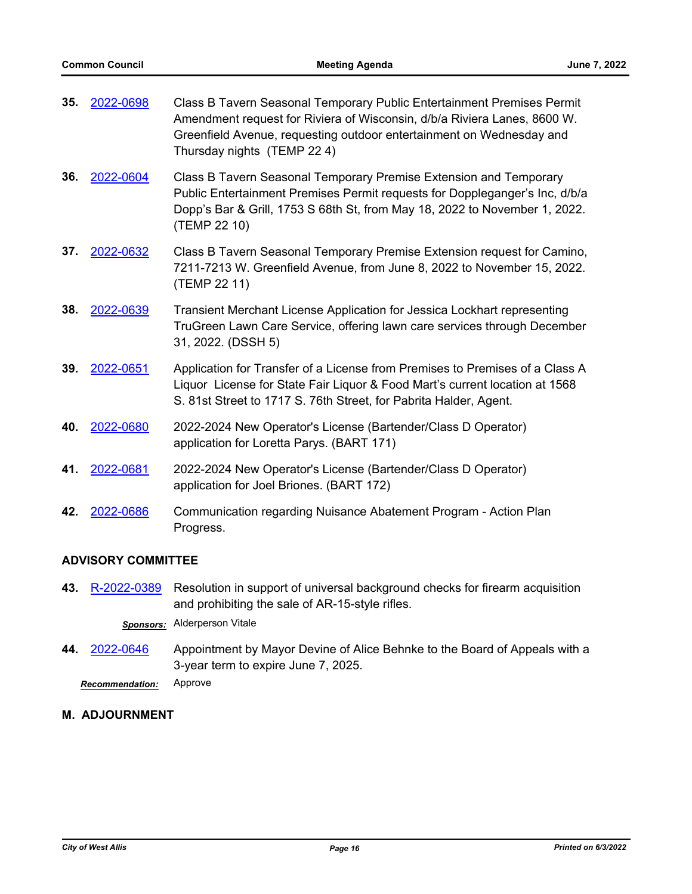| 35. | 2022-0698 | Class B Tavern Seasonal Temporary Public Entertainment Premises Permit<br>Amendment request for Riviera of Wisconsin, d/b/a Riviera Lanes, 8600 W.<br>Greenfield Avenue, requesting outdoor entertainment on Wednesday and<br>Thursday nights (TEMP 22 4) |
|-----|-----------|-----------------------------------------------------------------------------------------------------------------------------------------------------------------------------------------------------------------------------------------------------------|
| 36. | 2022-0604 | Class B Tavern Seasonal Temporary Premise Extension and Temporary<br>Public Entertainment Premises Permit requests for Doppleganger's Inc, d/b/a<br>Dopp's Bar & Grill, 1753 S 68th St, from May 18, 2022 to November 1, 2022.<br>(TEMP 22 10)            |
| 37. | 2022-0632 | Class B Tavern Seasonal Temporary Premise Extension request for Camino,<br>7211-7213 W. Greenfield Avenue, from June 8, 2022 to November 15, 2022.<br>(TEMP 22 11)                                                                                        |
| 38. | 2022-0639 | Transient Merchant License Application for Jessica Lockhart representing<br>TruGreen Lawn Care Service, offering lawn care services through December<br>31, 2022. (DSSH 5)                                                                                |
| 39. | 2022-0651 | Application for Transfer of a License from Premises to Premises of a Class A<br>Liquor License for State Fair Liquor & Food Mart's current location at 1568<br>S. 81st Street to 1717 S. 76th Street, for Pabrita Halder, Agent.                          |
| 40. | 2022-0680 | 2022-2024 New Operator's License (Bartender/Class D Operator)<br>application for Loretta Parys. (BART 171)                                                                                                                                                |
| 41. | 2022-0681 | 2022-2024 New Operator's License (Bartender/Class D Operator)<br>application for Joel Briones. (BART 172)                                                                                                                                                 |
| 42. | 2022-0686 | Communication regarding Nuisance Abatement Program - Action Plan<br>Progress.                                                                                                                                                                             |

## **ADVISORY COMMITTEE**

- Resolution in support of universal background checks for firearm acquisition and prohibiting the sale of AR-15-style rifles. **43.** [R-2022-0389](http://westalliswi.legistar.com/gateway.aspx?m=l&id=/matter.aspx?key=28928) *Sponsors:* Alderperson Vitale
- Appointment by Mayor Devine of Alice Behnke to the Board of Appeals with a 3-year term to expire June 7, 2025. **44.** [2022-0646](http://westalliswi.legistar.com/gateway.aspx?m=l&id=/matter.aspx?key=28909)

*Recommendation:* Approve

# **M. ADJOURNMENT**